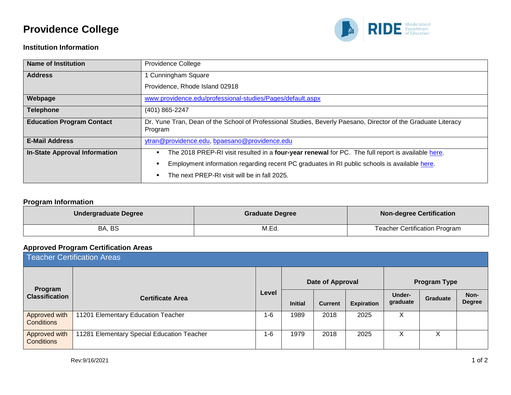# **Providence College**



#### **Institution Information**

| <b>Name of Institution</b>           | Providence College                                                                                                       |
|--------------------------------------|--------------------------------------------------------------------------------------------------------------------------|
| <b>Address</b>                       | 1 Cunningham Square                                                                                                      |
|                                      | Providence, Rhode Island 02918                                                                                           |
| Webpage                              | www.providence.edu/professional-studies/Pages/default.aspx                                                               |
| <b>Telephone</b>                     | (401) 865-2247                                                                                                           |
| <b>Education Program Contact</b>     | Dr. Yune Tran, Dean of the School of Professional Studies, Beverly Paesano, Director of the Graduate Literacy<br>Program |
| <b>E-Mail Address</b>                | ytran@providence.edu, bpaesano@providence.edu                                                                            |
| <b>In-State Approval Information</b> | The 2018 PREP-RI visit resulted in a four-year renewal for PC. The full report is available here.                        |
|                                      | Employment information regarding recent PC graduates in RI public schools is available here.                             |
|                                      | The next PREP-RI visit will be in fall 2025.                                                                             |

#### **Program Information**

| Undergraduate Degree | <b>Graduate Degree</b> | <b>Non-degree Certification</b>      |
|----------------------|------------------------|--------------------------------------|
| BA, BS               | M.Ed.                  | <b>Teacher Certification Program</b> |

#### **Approved Program Certification Areas**

| <b>Teacher Certification Areas</b> |                                            |         |                |                  |                   |                           |          |                       |
|------------------------------------|--------------------------------------------|---------|----------------|------------------|-------------------|---------------------------|----------|-----------------------|
| Program                            |                                            |         |                | Date of Approval |                   | <b>Program Type</b>       |          |                       |
| <b>Classification</b>              | <b>Certificate Area</b>                    | Level   | <b>Initial</b> | <b>Current</b>   | <b>Expiration</b> | <b>Under-</b><br>graduate | Graduate | Non-<br><b>Degree</b> |
| Approved with<br><b>Conditions</b> | 11201 Elementary Education Teacher         | $1 - 6$ | 1989           | 2018             | 2025              | х                         |          |                       |
| Approved with<br><b>Conditions</b> | 11281 Elementary Special Education Teacher | $1 - 6$ | 1979           | 2018             | 2025              | X                         | X        |                       |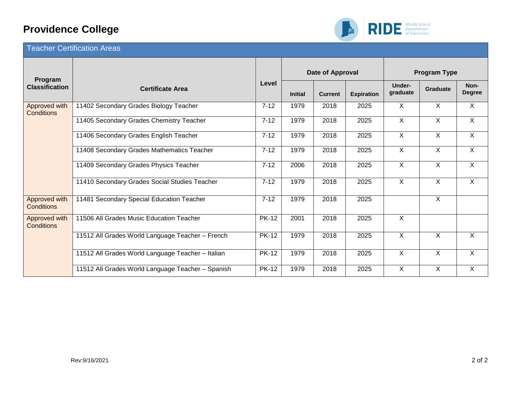# **Providence College**



### Teacher Certification Areas

| Program                     |                                                   |              |                | Date of Approval |                   | <b>Program Type</b> |          |                       |
|-----------------------------|---------------------------------------------------|--------------|----------------|------------------|-------------------|---------------------|----------|-----------------------|
| <b>Classification</b>       | <b>Certificate Area</b>                           | Level        | <b>Initial</b> | <b>Current</b>   | <b>Expiration</b> | Under-<br>graduate  | Graduate | Non-<br><b>Degree</b> |
| Approved with<br>Conditions | 11402 Secondary Grades Biology Teacher            | $7 - 12$     | 1979           | 2018             | 2025              | X                   | $\sf X$  | X                     |
|                             | 11405 Secondary Grades Chemistry Teacher          | $7 - 12$     | 1979           | 2018             | 2025              | $\sf X$             | X        | X                     |
|                             | 11406 Secondary Grades English Teacher            | $7 - 12$     | 1979           | 2018             | 2025              | X                   | X        | $\overline{X}$        |
|                             | 11408 Secondary Grades Mathematics Teacher        | $7 - 12$     | 1979           | 2018             | 2025              | $\sf X$             | X        | X                     |
|                             | 11409 Secondary Grades Physics Teacher            | $7 - 12$     | 2006           | 2018             | 2025              | $\sf X$             | X        | X                     |
|                             | 11410 Secondary Grades Social Studies Teacher     | $7 - 12$     | 1979           | 2018             | 2025              | X                   | X        | X                     |
| Approved with<br>Conditions | 11481 Secondary Special Education Teacher         | $7 - 12$     | 1979           | 2018             | 2025              |                     | X        |                       |
| Approved with<br>Conditions | 11506 All Grades Music Education Teacher          | <b>PK-12</b> | 2001           | 2018             | 2025              | $\overline{X}$      |          |                       |
|                             | 11512 All Grades World Language Teacher - French  | <b>PK-12</b> | 1979           | 2018             | 2025              | $\times$            | $\times$ | X                     |
|                             | 11512 All Grades World Language Teacher - Italian | <b>PK-12</b> | 1979           | 2018             | 2025              | $\sf X$             | X        | X.                    |
|                             | 11512 All Grades World Language Teacher - Spanish | <b>PK-12</b> | 1979           | 2018             | 2025              | X                   | X        | X                     |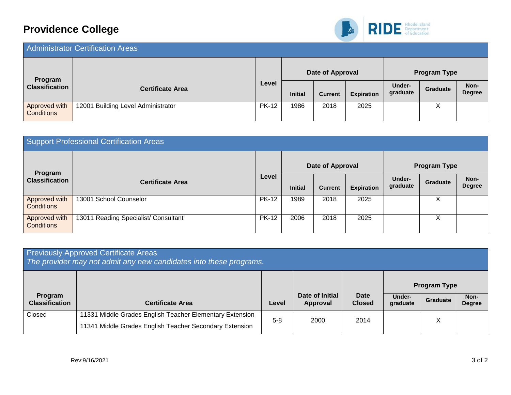# **Providence College**



| <b>Administrator Certification Areas</b> |                                    |              |                  |                |                   |                           |                 |                       |
|------------------------------------------|------------------------------------|--------------|------------------|----------------|-------------------|---------------------------|-----------------|-----------------------|
| Program                                  |                                    |              | Date of Approval |                |                   | <b>Program Type</b>       |                 |                       |
| <b>Classification</b>                    | <b>Certificate Area</b>            | Level        | <b>Initial</b>   | <b>Current</b> | <b>Expiration</b> | <b>Under-</b><br>graduate | <b>Graduate</b> | Non-<br><b>Degree</b> |
| Approved with<br><b>Conditions</b>       | 12001 Building Level Administrator | <b>PK-12</b> | 1986             | 2018           | 2025              |                           | х               |                       |

| Support Professional Certification Areas |                                      |              |                |                  |                   |                     |                 |                       |  |
|------------------------------------------|--------------------------------------|--------------|----------------|------------------|-------------------|---------------------|-----------------|-----------------------|--|
| Program                                  |                                      |              |                | Date of Approval |                   | <b>Program Type</b> |                 |                       |  |
| <b>Classification</b>                    | <b>Certificate Area</b>              | Level        | <b>Initial</b> | <b>Current</b>   | <b>Expiration</b> | Under-<br>graduate  | <b>Graduate</b> | Non-<br><b>Degree</b> |  |
| Approved with<br><b>Conditions</b>       | 13001 School Counselor               | <b>PK-12</b> | 1989           | 2018             | 2025              |                     | Χ               |                       |  |
| Approved with<br><b>Conditions</b>       | 13011 Reading Specialist/ Consultant | <b>PK-12</b> | 2006           | 2018             | 2025              |                     | Χ               |                       |  |

| <b>Previously Approved Certificate Areas</b><br>The provider may not admit any new candidates into these programs. |                                                                                                                     |         |                             |                       |                    |                                        |                       |  |
|--------------------------------------------------------------------------------------------------------------------|---------------------------------------------------------------------------------------------------------------------|---------|-----------------------------|-----------------------|--------------------|----------------------------------------|-----------------------|--|
| Program<br><b>Classification</b>                                                                                   | <b>Certificate Area</b>                                                                                             | Level   | Date of Initial<br>Approval | Date<br><b>Closed</b> | Under-<br>graduate | <b>Program Type</b><br><b>Graduate</b> | Non-<br><b>Degree</b> |  |
| Closed                                                                                                             | 11331 Middle Grades English Teacher Elementary Extension<br>11341 Middle Grades English Teacher Secondary Extension | $5 - 8$ | 2000                        | 2014                  |                    | X                                      |                       |  |